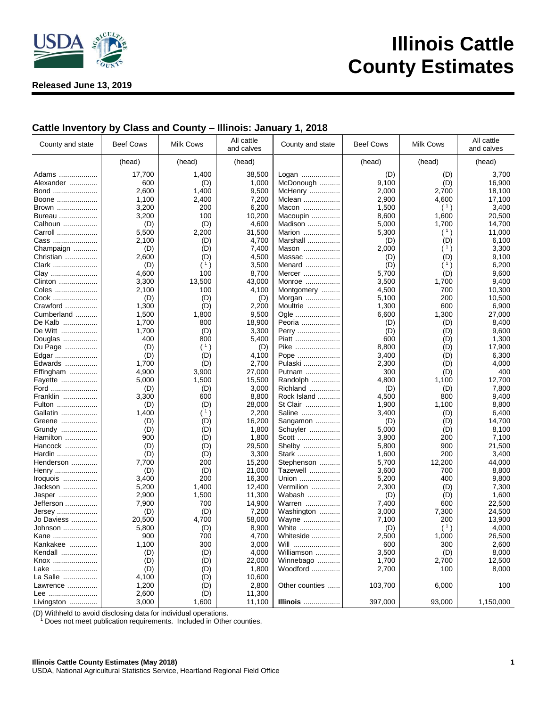

**Released June 13, 2019**

## **Illinois Cattle County Estimates**

## **Cattle Inventory by Class and County – Illinois: January 1, 2018**

| County and state | <b>Beef Cows</b> | <b>Milk Cows</b> | All cattle<br>and calves | County and state | <b>Beef Cows</b> | Milk Cows | All cattle<br>and calves |
|------------------|------------------|------------------|--------------------------|------------------|------------------|-----------|--------------------------|
|                  | (head)           | (head)           | (head)                   |                  | (head)           | (head)    | (head)                   |
| Adams            | 17,700           | 1,400            | 38,500                   | Logan            | (D)              | (D)       | 3,700                    |
| Alexander        | 600              | (D)              | 1,000                    | McDonough        | 9,100            | (D)       | 16,900                   |
| Bond             | 2,600            | 1,400            | 9,500                    | McHenry          | 2,000            | 2,700     | 18,100                   |
| Boone            | 1,100            | 2,400            | 7,200                    | Mclean           | 2,900            | 4,600     | 17,100                   |
| Brown            | 3,200            | 200              | 6,200                    | Macon            | 1,500            | (1)       | 3,400                    |
|                  | 3,200            | 100              | 10,200                   |                  | 8,600            | 1,600     | 20,500                   |
| Bureau           |                  |                  |                          | Macoupin         |                  |           |                          |
| Calhoun          | (D)              | (D)              | 4,600                    | Madison          | 5,000            | 1,700     | 14,700                   |
| Carroll          | 5,500            | 2,200            | 31,500                   | Marion           | 5,300            | (1)       | 11,000                   |
| Cass             | 2,100            | (D)              | 4,700                    | Marshall         | (D)              | (D)       | 6,100                    |
| Champaign        | (D)              | (D)              | 7,400                    | Mason            | 2,000            | (1)       | 3,300                    |
| Christian        | 2,600            | (D)              | 4,500                    | Massac           | (D)              | (D)       | 9,100                    |
| Clark            | (D)              | (1)              | 3,500                    | Menard           | (D)              | (1)       | 6,200                    |
| Clay             | 4,600            | 100              | 8,700                    | Mercer           | 5,700            | (D)       | 9,600                    |
| Clinton          | 3,300            | 13,500           | 43,000                   | Monroe           | 3,500            | 1,700     | 9,400                    |
| Coles            | 2,100            | 100              | 4,100                    | Montgomery       | 4,500            | 700       | 10,300                   |
| Cook             | (D)              | (D)              | (D)                      | Morgan           | 5,100            | 200       | 10,500                   |
| Crawford         | 1,300            | (D)              | 2,200                    | Moultrie         | 1,300            | 600       | 6,900                    |
| Cumberland       | 1,500            | 1,800            | 9,500                    | Ogle             | 6,600            | 1,300     | 27,000                   |
| De Kalb          | 1,700            | 800              | 18,900                   | Peoria           | (D)              | (D)       | 8,400                    |
| De Witt          | 1,700            | (D)              | 3,300                    | Perry            | (D)              | (D)       | 9,600                    |
| Douglas          | 400              | 800              | 5,400                    | Piatt            | 600              | (D)       | 1,300                    |
| Du Page          | (D)              | (1)              | (D)                      | Pike             | 8,800            | (D)       | 17,900                   |
| Edgar            | (D)              | (D)              | 4,100                    | Pope             | 3,400            | (D)       | 6,300                    |
| Edwards          | 1,700            | (D)              | 2,700                    | Pulaski          | 2,300            | (D)       | 4,000                    |
|                  | 4,900            | 3,900            | 27,000                   | Putnam           | 300              | (D)       | 400                      |
| Effingham        | 5,000            | 1,500            | 15,500                   | Randolph         | 4,800            | 1,100     | 12,700                   |
| Fayette          |                  |                  |                          |                  |                  |           |                          |
| Ford             | (D)              | (D)              | 3,000                    | Richland         | (D)              | (D)       | 7,800                    |
| Franklin         | 3,300            | 600              | 8,800                    | Rock Island      | 4,500            | 800       | 9,400                    |
| Fulton           | (D)              | (D)              | 28,000                   | St Clair         | 1,900            | 1,100     | 8,800                    |
| Gallatin         | 1,400            | (1)              | 2,200                    | Saline           | 3,400            | (D)       | 6,400                    |
| Greene           | (D)              | (D)              | 16,200                   | Sangamon         | (D)              | (D)       | 14,700                   |
| Grundy           | (D)              | (D)              | 1,800                    | Schuyler         | 5,000            | (D)       | 8,100                    |
| Hamilton         | 900              | (D)              | 1,800                    | Scott            | 3,800            | 200       | 7,100                    |
| Hancock          | (D)              | (D)              | 29,500                   | Shelby           | 5,800            | 900       | 21,500                   |
| Hardin           | (D)              | (D)              | 3,300                    | Stark            | 1,600            | 200       | 3,400                    |
| Henderson        | 7,700            | 200              | 15,200                   | Stephenson       | 5,700            | 12,200    | 44,000                   |
| Henry            | (D)              | (D)              | 21,000                   | Tazewell         | 3,600            | 700       | 8,800                    |
| Iroquois         | 3,400            | 200              | 16,300                   | Union            | 5,200            | 400       | 9,800                    |
| Jackson          | 5,200            | 1,400            | 12,400                   | Vermilion        | 2,300            | (D)       | 7,300                    |
| Jasper           | 2,900            | 1,500            | 11,300                   | Wabash           | (D)              | (D)       | 1,600                    |
| Jefferson        | 7,900            | 700              | 14,900                   | Warren           | 7,400            | 600       | 22,500                   |
| Jersey           | (D)              | (D)              | 7,200                    | Washington       | 3,000            | 7,300     | 24,500                   |
| Jo Daviess       | 20,500           | 4,700            | 58,000                   | Wayne            | 7,100            | 200       | 13,900                   |
| Johnson          | 5,800            | (D)              | 8,900                    | White            | (D)              | (1)       | 4,000                    |
| Kane             | 900              | 700              | 4,700                    | Whiteside        | 2,500            | 1,000     | 26,500                   |
| Kankakee         | 1,100            | 300              | 3,000                    | Will             | 600              | 300       | 2,600                    |
| Kendall          | (D)              | (D)              | 4,000                    | Williamson       | 3,500            | (D)       | 8,000                    |
| Knox             | (D)              | (D)              | 22,000                   | Winnebago        | 1,700            | 2,700     | 12,500                   |
| Lake             | (D)              | (D)              | 1,800                    | Woodford         | 2,700            | 100       | 8,000                    |
| La Salle         | 4,100            | (D)              | 10,600                   |                  |                  |           |                          |
| Lawrence         | 1,200            | (D)              | 2,800                    | Other counties   | 103,700          | 6,000     | 100                      |
| Lee              | 2,600            | (D)              | 11,300                   |                  |                  |           |                          |
|                  | 3,000            |                  | 11,100                   |                  | 397,000          | 93,000    | 1,150,000                |
| Livingston       |                  | 1,600            |                          | <b>Illinois</b>  |                  |           |                          |

(D) Withheld to avoid disclosing data for individual operations.

<sup>1</sup> Does not meet publication requirements. Included in Other counties.